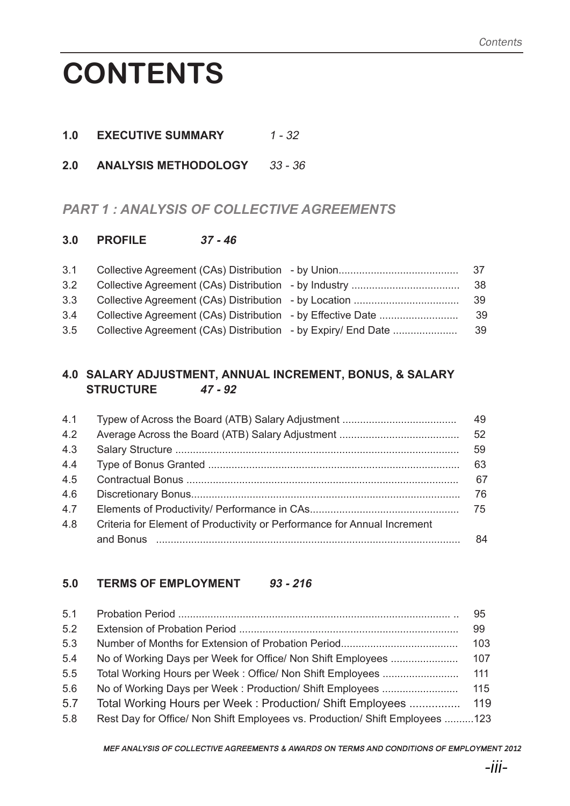# **CONTENTS**

- **1.0 EXECUTIVE SUMMARY** 1 32
- **2.0 ANALYSIS METHODOLOGY** 33 36

# *PART 1 : ANALYSIS OF COLLECTIVE AGREEMENTS*

#### **3.0 PROFILE 37 - 46**

| 3.1 |                                                               |     |
|-----|---------------------------------------------------------------|-----|
| 3.2 |                                                               | 38  |
| 3.3 |                                                               | 39  |
| 3.4 |                                                               | -39 |
| 3.5 | Collective Agreement (CAs) Distribution - by Expiry/ End Date | 39  |

### **4.0 SALARY ADJUSTMENT, ANNUAL INCREMENT, BONUS, & SALARY STRUCTURE 47 - 92**

| 4.1 |                                                                          | 49              |
|-----|--------------------------------------------------------------------------|-----------------|
| 4.2 |                                                                          | 52 <sub>2</sub> |
| 4.3 |                                                                          | 59              |
| 4.4 |                                                                          | 63              |
| 4.5 |                                                                          | 67              |
| 4.6 |                                                                          | 76              |
| 4.7 |                                                                          | 75              |
| 4.8 | Criteria for Element of Productivity or Performance for Annual Increment |                 |
|     |                                                                          | 84              |

#### **5.0 TERMS OF EMPLOYMENT 93 - 216**

| 5.1 |                                                                              | 95  |
|-----|------------------------------------------------------------------------------|-----|
| 5.2 |                                                                              | 99  |
| 5.3 |                                                                              | 103 |
| 5.4 | No of Working Days per Week for Office/ Non Shift Employees                  | 107 |
| 5.5 | Total Working Hours per Week: Office/ Non Shift Employees                    | 111 |
| 5.6 | No of Working Days per Week: Production/ Shift Employees                     | 115 |
| 5.7 | Total Working Hours per Week: Production/ Shift Employees                    | 119 |
| 5.8 | Rest Day for Office/ Non Shift Employees vs. Production/ Shift Employees 123 |     |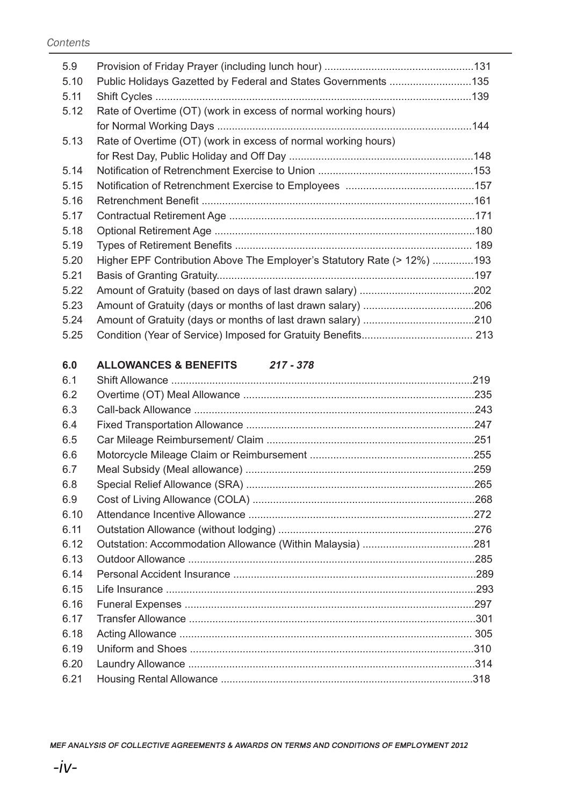| 5.9  |                                                                         |  |
|------|-------------------------------------------------------------------------|--|
| 5.10 | Public Holidays Gazetted by Federal and States Governments 135          |  |
| 5.11 |                                                                         |  |
| 5.12 | Rate of Overtime (OT) (work in excess of normal working hours)          |  |
|      |                                                                         |  |
| 5.13 | Rate of Overtime (OT) (work in excess of normal working hours)          |  |
|      |                                                                         |  |
| 5.14 |                                                                         |  |
| 5.15 |                                                                         |  |
| 5.16 |                                                                         |  |
| 5.17 |                                                                         |  |
| 5.18 |                                                                         |  |
| 5.19 |                                                                         |  |
| 5.20 | Higher EPF Contribution Above The Employer's Statutory Rate (> 12%) 193 |  |
| 5.21 |                                                                         |  |
| 5.22 |                                                                         |  |
| 5.23 |                                                                         |  |
| 5.24 |                                                                         |  |
| 5.25 |                                                                         |  |
|      |                                                                         |  |

# **6.0 ALLOWANCES & BENEFITS 217 - 378**

| 6.1  |  |
|------|--|
| 6.2  |  |
| 6.3  |  |
| 6.4  |  |
| 6.5  |  |
| 6.6  |  |
| 6.7  |  |
| 6.8  |  |
| 6.9  |  |
| 6.10 |  |
| 6.11 |  |
| 6.12 |  |
| 6.13 |  |
| 6.14 |  |
| 6.15 |  |
| 6.16 |  |
| 6.17 |  |
| 6.18 |  |
| 6.19 |  |
| 6.20 |  |
| 6.21 |  |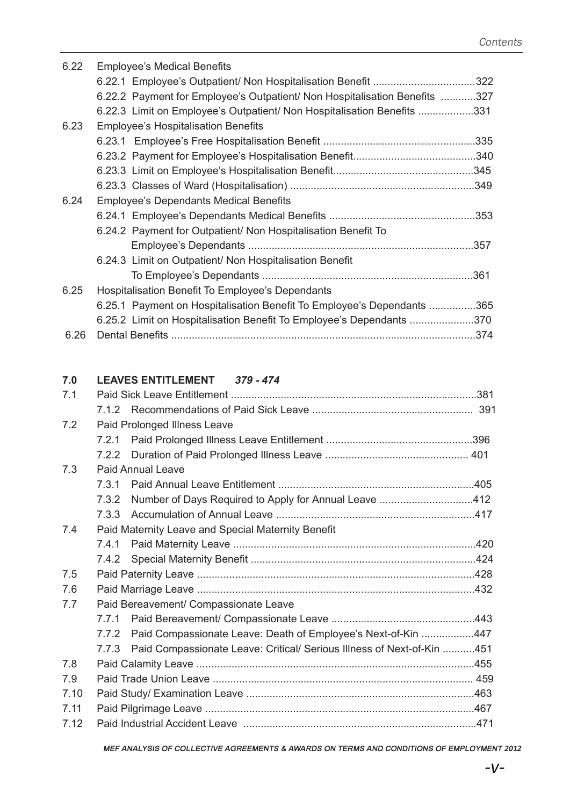| 6.22 | <b>Employee's Medical Benefits</b>                                         |  |
|------|----------------------------------------------------------------------------|--|
|      | 6.22.1 Employee's Outpatient/ Non Hospitalisation Benefit 322              |  |
|      | 6.22.2 Payment for Employee's Outpatient/ Non Hospitalisation Benefits 327 |  |
|      | 6.22.3 Limit on Employee's Outpatient/ Non Hospitalisation Benefits 331    |  |
| 6.23 | <b>Employee's Hospitalisation Benefits</b>                                 |  |
|      |                                                                            |  |
|      |                                                                            |  |
|      |                                                                            |  |
|      |                                                                            |  |
| 6.24 | <b>Employee's Dependants Medical Benefits</b>                              |  |
|      |                                                                            |  |
|      | 6.24.2 Payment for Outpatient/ Non Hospitalisation Benefit To              |  |
|      |                                                                            |  |
|      | 6.24.3 Limit on Outpatient/ Non Hospitalisation Benefit                    |  |
|      |                                                                            |  |
| 6.25 | Hospitalisation Benefit To Employee's Dependants                           |  |
|      | 6.25.1 Payment on Hospitalisation Benefit To Employee's Dependants 365     |  |
|      | 6.25.2 Limit on Hospitalisation Benefit To Employee's Dependants 370       |  |
| 6.26 |                                                                            |  |

#### **7.0 LEAVES ENTITLEMENT 379 - 474**

| 7.1  |                                       |                                                                              |  |
|------|---------------------------------------|------------------------------------------------------------------------------|--|
|      | 712                                   |                                                                              |  |
| 7.2  |                                       | Paid Prolonged Illness Leave                                                 |  |
|      |                                       |                                                                              |  |
|      |                                       |                                                                              |  |
| 7.3  |                                       | <b>Paid Annual Leave</b>                                                     |  |
|      | 731                                   |                                                                              |  |
|      | 7.3.2                                 | Number of Days Required to Apply for Annual Leave 412                        |  |
|      |                                       |                                                                              |  |
| 7.4  |                                       | Paid Maternity Leave and Special Maternity Benefit                           |  |
|      | 7.4.1                                 |                                                                              |  |
|      |                                       |                                                                              |  |
| 7.5  |                                       |                                                                              |  |
| 7.6  |                                       |                                                                              |  |
| 7.7  | Paid Bereavement/ Compassionate Leave |                                                                              |  |
|      |                                       |                                                                              |  |
|      | 7.7.2                                 | Paid Compassionate Leave: Death of Employee's Next-of-Kin 447                |  |
|      |                                       | 7.7.3 Paid Compassionate Leave: Critical/ Serious Illness of Next-of-Kin 451 |  |
| 7.8  |                                       |                                                                              |  |
| 7.9  |                                       |                                                                              |  |
| 7.10 |                                       |                                                                              |  |
| 7.11 |                                       |                                                                              |  |
| 7.12 |                                       |                                                                              |  |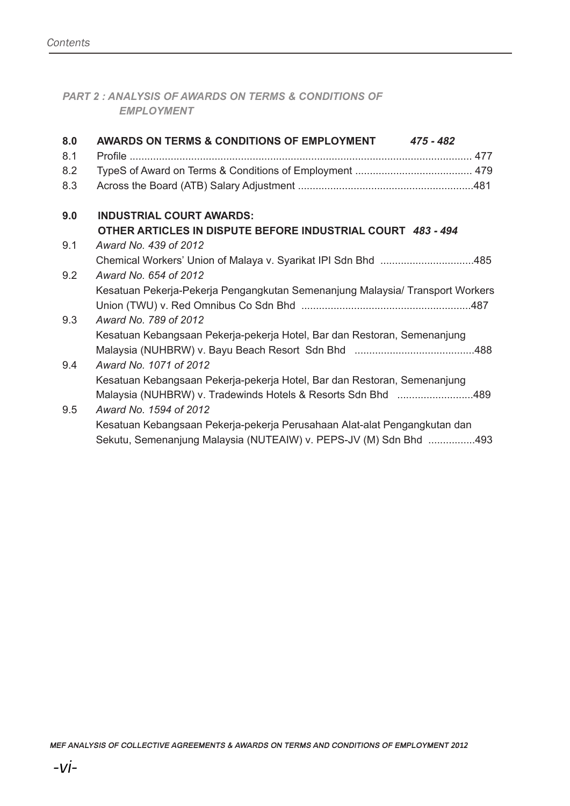*PART 2 : ANALYSIS OF AWARDS ON TERMS & CONDITIONS OF EMPLOYMENT*

| 8.0 | AWARDS ON TERMS & CONDITIONS OF EMPLOYMENT 475 - 482                          |
|-----|-------------------------------------------------------------------------------|
| 8.1 |                                                                               |
| 8.2 |                                                                               |
| 8.3 |                                                                               |
| 9.0 | <b>INDUSTRIAL COURT AWARDS:</b>                                               |
|     | OTHER ARTICLES IN DISPUTE BEFORE INDUSTRIAL COURT 483-494                     |
| 9.1 | Award No. 439 of 2012                                                         |
|     | Chemical Workers' Union of Malaya v. Syarikat IPI Sdn Bhd 485                 |
| 9.2 | Award No. 654 of 2012                                                         |
|     | Kesatuan Pekerja-Pekerja Pengangkutan Semenanjung Malaysia/ Transport Workers |
|     |                                                                               |
| 9.3 | Award No. 789 of 2012                                                         |
|     | Kesatuan Kebangsaan Pekerja-pekerja Hotel, Bar dan Restoran, Semenanjung      |
|     |                                                                               |
| 9.4 | Award No. 1071 of 2012                                                        |
|     | Kesatuan Kebangsaan Pekerja-pekerja Hotel, Bar dan Restoran, Semenanjung      |
|     | Malaysia (NUHBRW) v. Tradewinds Hotels & Resorts Sdn Bhd 489                  |
| 9.5 | Award No. 1594 of 2012                                                        |
|     | Kesatuan Kebangsaan Pekerja-pekerja Perusahaan Alat-alat Pengangkutan dan     |
|     | Sekutu, Semenanjung Malaysia (NUTEAIW) v. PEPS-JV (M) Sdn Bhd 493             |
|     |                                                                               |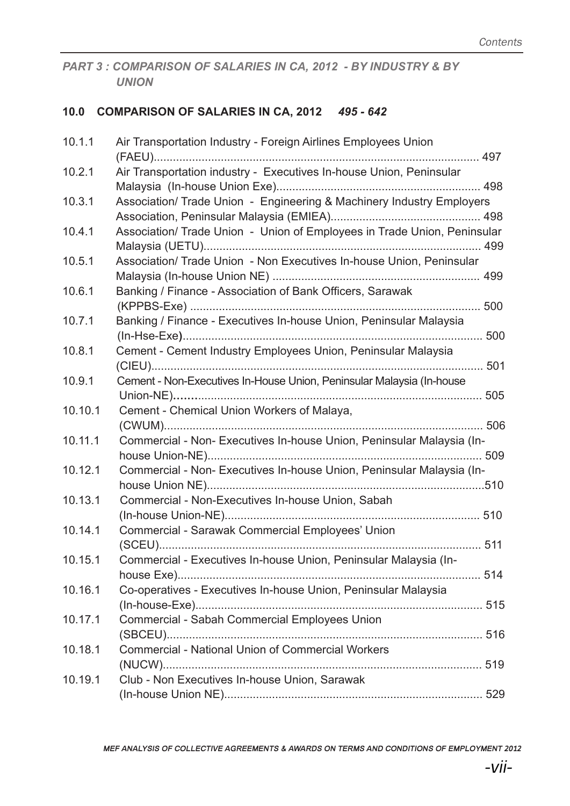PART 3 : COMPARISON OF SALARIES IN CA, 2012 - BY INDUSTRY & BY *UNION*

## **10.0 COMPARISON OF SALARIES IN CA, 2012** *495 - 642*

| 10.1.1  | Air Transportation Industry - Foreign Airlines Employees Union           |  |
|---------|--------------------------------------------------------------------------|--|
| 10.2.1  | Air Transportation industry - Executives In-house Union, Peninsular      |  |
| 10.3.1  | Association/ Trade Union - Engineering & Machinery Industry Employers    |  |
| 10.4.1  | Association/ Trade Union - Union of Employees in Trade Union, Peninsular |  |
| 10.5.1  | Association/ Trade Union - Non Executives In-house Union, Peninsular     |  |
| 10.6.1  | Banking / Finance - Association of Bank Officers, Sarawak                |  |
| 10.7.1  | Banking / Finance - Executives In-house Union, Peninsular Malaysia       |  |
| 10.8.1  | Cement - Cement Industry Employees Union, Peninsular Malaysia            |  |
| 10.9.1  | Cement - Non-Executives In-House Union, Peninsular Malaysia (In-house    |  |
| 10.10.1 | Cement - Chemical Union Workers of Malaya,                               |  |
| 10.11.1 | Commercial - Non- Executives In-house Union, Peninsular Malaysia (In-    |  |
| 10.12.1 | Commercial - Non- Executives In-house Union, Peninsular Malaysia (In-    |  |
| 10.13.1 | Commercial - Non-Executives In-house Union, Sabah                        |  |
| 10.14.1 | Commercial - Sarawak Commercial Employees' Union                         |  |
| 10.15.1 | Commercial - Executives In-house Union, Peninsular Malaysia (In-         |  |
| 10.16.1 | Co-operatives - Executives In-house Union, Peninsular Malaysia           |  |
| 10.17.1 | Commercial - Sabah Commercial Employees Union                            |  |
| 10.18.1 | <b>Commercial - National Union of Commercial Workers</b>                 |  |
| 10.19.1 | Club - Non Executives In-house Union, Sarawak                            |  |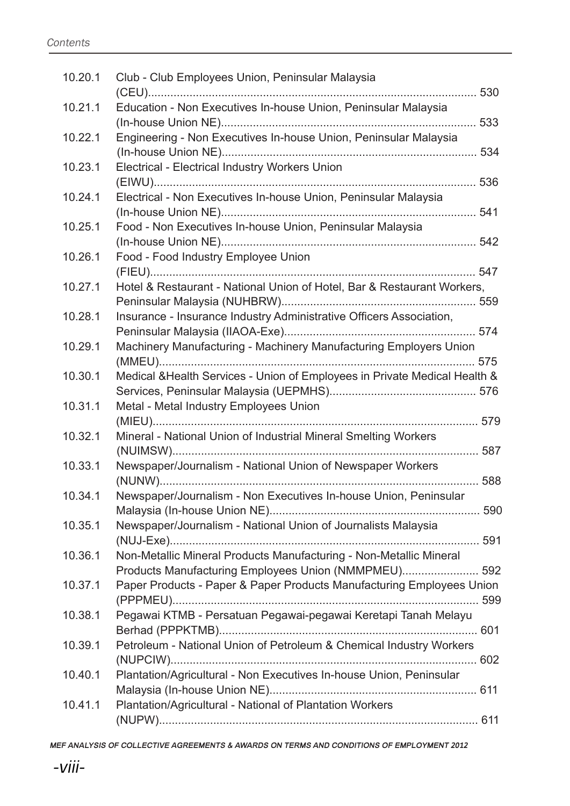| 10.20.1 | Club - Club Employees Union, Peninsular Malaysia                           |  |
|---------|----------------------------------------------------------------------------|--|
|         |                                                                            |  |
| 10.21.1 | Education - Non Executives In-house Union, Peninsular Malaysia             |  |
| 10.22.1 | Engineering - Non Executives In-house Union, Peninsular Malaysia           |  |
|         |                                                                            |  |
| 10.23.1 | Electrical - Electrical Industry Workers Union                             |  |
|         |                                                                            |  |
| 10.24.1 | Electrical - Non Executives In-house Union, Peninsular Malaysia            |  |
|         |                                                                            |  |
| 10.25.1 | Food - Non Executives In-house Union, Peninsular Malaysia                  |  |
|         |                                                                            |  |
| 10.26.1 | Food - Food Industry Employee Union                                        |  |
|         |                                                                            |  |
| 10.27.1 | Hotel & Restaurant - National Union of Hotel, Bar & Restaurant Workers,    |  |
|         |                                                                            |  |
| 10.28.1 | Insurance - Insurance Industry Administrative Officers Association,        |  |
|         |                                                                            |  |
| 10.29.1 | Machinery Manufacturing - Machinery Manufacturing Employers Union          |  |
|         |                                                                            |  |
| 10.30.1 | Medical & Health Services - Union of Employees in Private Medical Health & |  |
|         |                                                                            |  |
| 10.31.1 | Metal - Metal Industry Employees Union                                     |  |
|         |                                                                            |  |
| 10.32.1 | Mineral - National Union of Industrial Mineral Smelting Workers            |  |
|         |                                                                            |  |
| 10.33.1 | Newspaper/Journalism - National Union of Newspaper Workers                 |  |
|         |                                                                            |  |
| 10.34.1 | Newspaper/Journalism - Non Executives In-house Union, Peninsular           |  |
|         |                                                                            |  |
| 10.35.1 | Newspaper/Journalism - National Union of Journalists Malaysia              |  |
|         |                                                                            |  |
| 10.36.1 | Non-Metallic Mineral Products Manufacturing - Non-Metallic Mineral         |  |
|         | Products Manufacturing Employees Union (NMMPMEU) 592                       |  |
| 10.37.1 | Paper Products - Paper & Paper Products Manufacturing Employees Union      |  |
|         |                                                                            |  |
| 10.38.1 | Pegawai KTMB - Persatuan Pegawai-pegawai Keretapi Tanah Melayu             |  |
|         |                                                                            |  |
| 10.39.1 | Petroleum - National Union of Petroleum & Chemical Industry Workers        |  |
|         |                                                                            |  |
| 10.40.1 | Plantation/Agricultural - Non Executives In-house Union, Peninsular        |  |
|         |                                                                            |  |
| 10.41.1 | Plantation/Agricultural - National of Plantation Workers                   |  |
|         |                                                                            |  |
|         |                                                                            |  |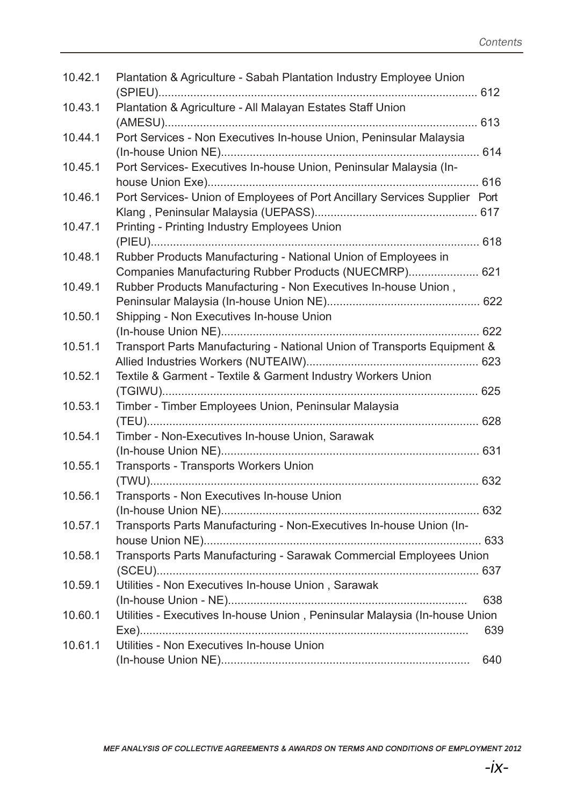| 10.42.1 | Plantation & Agriculture - Sabah Plantation Industry Employee Union                                                     |     |
|---------|-------------------------------------------------------------------------------------------------------------------------|-----|
| 10.43.1 | Plantation & Agriculture - All Malayan Estates Staff Union                                                              |     |
| 10.44.1 | Port Services - Non Executives In-house Union, Peninsular Malaysia                                                      |     |
| 10.45.1 | Port Services- Executives In-house Union, Peninsular Malaysia (In-                                                      |     |
| 10.46.1 | Port Services- Union of Employees of Port Ancillary Services Supplier Port                                              |     |
| 10.47.1 | Printing - Printing Industry Employees Union                                                                            |     |
| 10.48.1 | Rubber Products Manufacturing - National Union of Employees in<br>Companies Manufacturing Rubber Products (NUECMRP) 621 |     |
| 10.49.1 | Rubber Products Manufacturing - Non Executives In-house Union,                                                          |     |
| 10.50.1 | Shipping - Non Executives In-house Union                                                                                |     |
| 10.51.1 | Transport Parts Manufacturing - National Union of Transports Equipment &                                                |     |
| 10.52.1 | Textile & Garment - Textile & Garment Industry Workers Union                                                            |     |
| 10.53.1 | Timber - Timber Employees Union, Peninsular Malaysia                                                                    |     |
| 10.54.1 | Timber - Non-Executives In-house Union, Sarawak                                                                         |     |
| 10.55.1 | <b>Transports - Transports Workers Union</b>                                                                            |     |
| 10.56.1 | Transports - Non Executives In-house Union                                                                              |     |
| 10.57.1 | Transports Parts Manufacturing - Non-Executives In-house Union (In-                                                     |     |
| 10.58.1 | Transports Parts Manufacturing - Sarawak Commercial Employees Union                                                     |     |
| 10.59.1 | Utilities - Non Executives In-house Union, Sarawak                                                                      | 638 |
| 10.60.1 | Utilities - Executives In-house Union, Peninsular Malaysia (In-house Union                                              | 639 |
| 10.61.1 | Utilities - Non Executives In-house Union                                                                               | 640 |